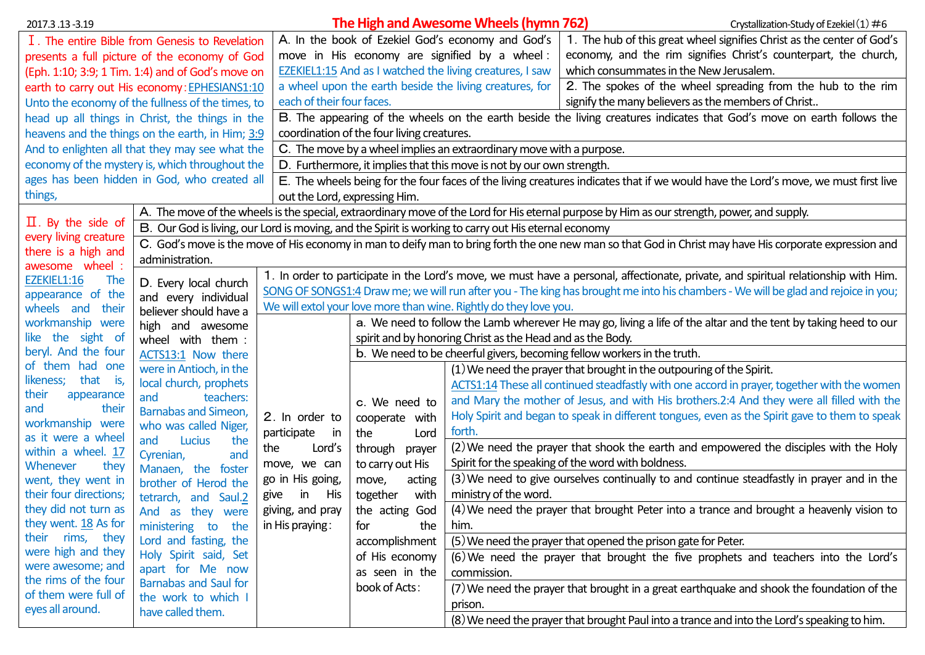| 2017.3.13 - 3.19                                                                                                                            |                                                                                                                                     |                                                                                                                                   | The High and Awesome Wheels (hymn 762)<br>Crystallization-Study of Ezekiel (1) $\#6$                                               |                                                                                             |                                                                                                                                                         |  |  |  |  |
|---------------------------------------------------------------------------------------------------------------------------------------------|-------------------------------------------------------------------------------------------------------------------------------------|-----------------------------------------------------------------------------------------------------------------------------------|------------------------------------------------------------------------------------------------------------------------------------|---------------------------------------------------------------------------------------------|---------------------------------------------------------------------------------------------------------------------------------------------------------|--|--|--|--|
|                                                                                                                                             | I. The entire Bible from Genesis to Revelation                                                                                      |                                                                                                                                   | A. In the book of Ezekiel God's economy and God's                                                                                  | 1. The hub of this great wheel signifies Christ as the center of God's                      |                                                                                                                                                         |  |  |  |  |
|                                                                                                                                             | presents a full picture of the economy of God                                                                                       |                                                                                                                                   | economy, and the rim signifies Christ's counterpart, the church,<br>move in His economy are signified by a wheel:                  |                                                                                             |                                                                                                                                                         |  |  |  |  |
| (Eph. 1:10; 3:9; 1 Tim. 1:4) and of God's move on                                                                                           |                                                                                                                                     |                                                                                                                                   | EZEKIEL1:15 And as I watched the living creatures, I saw<br>which consummates in the New Jerusalem.                                |                                                                                             |                                                                                                                                                         |  |  |  |  |
|                                                                                                                                             | earth to carry out His economy: EPHESIANS1:10                                                                                       |                                                                                                                                   | a wheel upon the earth beside the living creatures, for<br>2. The spokes of the wheel spreading from the hub to the rim            |                                                                                             |                                                                                                                                                         |  |  |  |  |
|                                                                                                                                             | Unto the economy of the fullness of the times, to                                                                                   |                                                                                                                                   | each of their four faces.<br>signify the many believers as the members of Christ                                                   |                                                                                             |                                                                                                                                                         |  |  |  |  |
|                                                                                                                                             | head up all things in Christ, the things in the                                                                                     |                                                                                                                                   | B. The appearing of the wheels on the earth beside the living creatures indicates that God's move on earth follows the             |                                                                                             |                                                                                                                                                         |  |  |  |  |
|                                                                                                                                             | heavens and the things on the earth, in Him; 3:9                                                                                    |                                                                                                                                   | coordination of the four living creatures.                                                                                         |                                                                                             |                                                                                                                                                         |  |  |  |  |
|                                                                                                                                             | And to enlighten all that they may see what the                                                                                     |                                                                                                                                   | C. The move by a wheel implies an extraordinary move with a purpose.                                                               |                                                                                             |                                                                                                                                                         |  |  |  |  |
|                                                                                                                                             | economy of the mystery is, which throughout the                                                                                     |                                                                                                                                   | D. Furthermore, it implies that this move is not by our own strength.                                                              |                                                                                             |                                                                                                                                                         |  |  |  |  |
|                                                                                                                                             | ages has been hidden in God, who created all                                                                                        |                                                                                                                                   | E. The wheels being for the four faces of the living creatures indicates that if we would have the Lord's move, we must first live |                                                                                             |                                                                                                                                                         |  |  |  |  |
| things,                                                                                                                                     |                                                                                                                                     |                                                                                                                                   | out the Lord, expressing Him.                                                                                                      |                                                                                             |                                                                                                                                                         |  |  |  |  |
| A. The move of the wheels is the special, extraordinary move of the Lord for His eternal purpose by Him as our strength, power, and supply. |                                                                                                                                     |                                                                                                                                   |                                                                                                                                    |                                                                                             |                                                                                                                                                         |  |  |  |  |
| $\Pi$ . By the side of                                                                                                                      | B. Our God is living, our Lord is moving, and the Spirit is working to carry out His eternal economy                                |                                                                                                                                   |                                                                                                                                    |                                                                                             |                                                                                                                                                         |  |  |  |  |
| every living creature<br>there is a high and                                                                                                |                                                                                                                                     |                                                                                                                                   |                                                                                                                                    |                                                                                             | C. God's move is the move of His economy in man to deify man to bring forth the one new man so that God in Christ may have His corporate expression and |  |  |  |  |
| awesome wheel :                                                                                                                             | administration.                                                                                                                     |                                                                                                                                   |                                                                                                                                    |                                                                                             |                                                                                                                                                         |  |  |  |  |
| EZEKIEL1:16<br><b>The</b>                                                                                                                   | 1. In order to participate in the Lord's move, we must have a personal, affectionate, private, and spiritual relationship with Him. |                                                                                                                                   |                                                                                                                                    |                                                                                             |                                                                                                                                                         |  |  |  |  |
| appearance of the                                                                                                                           | D. Every local church<br>and every individual                                                                                       | SONG OF SONGS1:4 Draw me; we will run after you - The king has brought me into his chambers - We will be glad and rejoice in you; |                                                                                                                                    |                                                                                             |                                                                                                                                                         |  |  |  |  |
| wheels and<br>their                                                                                                                         | believer should have a                                                                                                              |                                                                                                                                   | We will extol your love more than wine. Rightly do they love you.                                                                  |                                                                                             |                                                                                                                                                         |  |  |  |  |
| workmanship were                                                                                                                            | high and awesome                                                                                                                    | a. We need to follow the Lamb wherever He may go, living a life of the altar and the tent by taking heed to our                   |                                                                                                                                    |                                                                                             |                                                                                                                                                         |  |  |  |  |
| like the sight of                                                                                                                           | wheel with them :                                                                                                                   | spirit and by honoring Christ as the Head and as the Body.                                                                        |                                                                                                                                    |                                                                                             |                                                                                                                                                         |  |  |  |  |
| beryl. And the four                                                                                                                         | ACTS13:1 Now there                                                                                                                  | b. We need to be cheerful givers, becoming fellow workers in the truth.                                                           |                                                                                                                                    |                                                                                             |                                                                                                                                                         |  |  |  |  |
| of them had one                                                                                                                             | were in Antioch, in the                                                                                                             |                                                                                                                                   | (1) We need the prayer that brought in the outpouring of the Spirit.                                                               |                                                                                             |                                                                                                                                                         |  |  |  |  |
| that<br>likeness;<br>is,                                                                                                                    | local church, prophets                                                                                                              |                                                                                                                                   |                                                                                                                                    |                                                                                             | ACTS1:14 These all continued steadfastly with one accord in prayer, together with the women                                                             |  |  |  |  |
| their<br>appearance                                                                                                                         | teachers:<br>and                                                                                                                    |                                                                                                                                   | c. We need to                                                                                                                      |                                                                                             | and Mary the mother of Jesus, and with His brothers.2:4 And they were all filled with the                                                               |  |  |  |  |
| and<br>their<br>workmanship were                                                                                                            | <b>Barnabas and Simeon,</b>                                                                                                         | 2. In order to                                                                                                                    | cooperate with                                                                                                                     |                                                                                             | Holy Spirit and began to speak in different tongues, even as the Spirit gave to them to speak                                                           |  |  |  |  |
| as it were a wheel                                                                                                                          | who was called Niger,                                                                                                               | participate<br>in.                                                                                                                | the<br>Lord                                                                                                                        | forth.                                                                                      |                                                                                                                                                         |  |  |  |  |
| within a wheel. 17                                                                                                                          | Lucius<br>and<br>the                                                                                                                | Lord's<br>the                                                                                                                     | through<br>prayer                                                                                                                  |                                                                                             | (2) We need the prayer that shook the earth and empowered the disciples with the Holy                                                                   |  |  |  |  |
| Whenever<br>they                                                                                                                            | Cyrenian,<br>and<br>Manaen, the foster                                                                                              | move, we can                                                                                                                      | to carry out His                                                                                                                   | Spirit for the speaking of the word with boldness.                                          |                                                                                                                                                         |  |  |  |  |
| went, they went in                                                                                                                          | brother of Herod the                                                                                                                | go in His going,                                                                                                                  | acting<br>move,                                                                                                                    |                                                                                             | (3) We need to give ourselves continually to and continue steadfastly in prayer and in the                                                              |  |  |  |  |
| their four directions;                                                                                                                      | tetrarch, and Saul.2                                                                                                                | in<br>His<br>give                                                                                                                 | ministry of the word.<br>together<br>with                                                                                          |                                                                                             |                                                                                                                                                         |  |  |  |  |
| they did not turn as                                                                                                                        | And as they were                                                                                                                    | giving, and pray                                                                                                                  | the acting God                                                                                                                     |                                                                                             | (4) We need the prayer that brought Peter into a trance and brought a heavenly vision to                                                                |  |  |  |  |
| they went. 18 As for                                                                                                                        | ministering to<br>the                                                                                                               | in His praying:                                                                                                                   | the<br>for                                                                                                                         | him.                                                                                        |                                                                                                                                                         |  |  |  |  |
| rims, they<br>their                                                                                                                         | Lord and fasting, the                                                                                                               | accomplishment                                                                                                                    |                                                                                                                                    | (5) We need the prayer that opened the prison gate for Peter.                               |                                                                                                                                                         |  |  |  |  |
| were high and they                                                                                                                          | Holy Spirit said, Set                                                                                                               |                                                                                                                                   | of His economy                                                                                                                     |                                                                                             | (6) We need the prayer that brought the five prophets and teachers into the Lord's                                                                      |  |  |  |  |
| were awesome; and                                                                                                                           | apart for Me now                                                                                                                    |                                                                                                                                   | as seen in the                                                                                                                     | commission.                                                                                 |                                                                                                                                                         |  |  |  |  |
| the rims of the four                                                                                                                        | <b>Barnabas and Saul for</b>                                                                                                        |                                                                                                                                   | book of Acts:                                                                                                                      |                                                                                             | (7) We need the prayer that brought in a great earthquake and shook the foundation of the                                                               |  |  |  |  |
| of them were full of<br>eyes all around.                                                                                                    | the work to which I<br>have called them.                                                                                            |                                                                                                                                   |                                                                                                                                    | prison.                                                                                     |                                                                                                                                                         |  |  |  |  |
|                                                                                                                                             |                                                                                                                                     |                                                                                                                                   |                                                                                                                                    | (8) We need the prayer that brought Paul into a trance and into the Lord's speaking to him. |                                                                                                                                                         |  |  |  |  |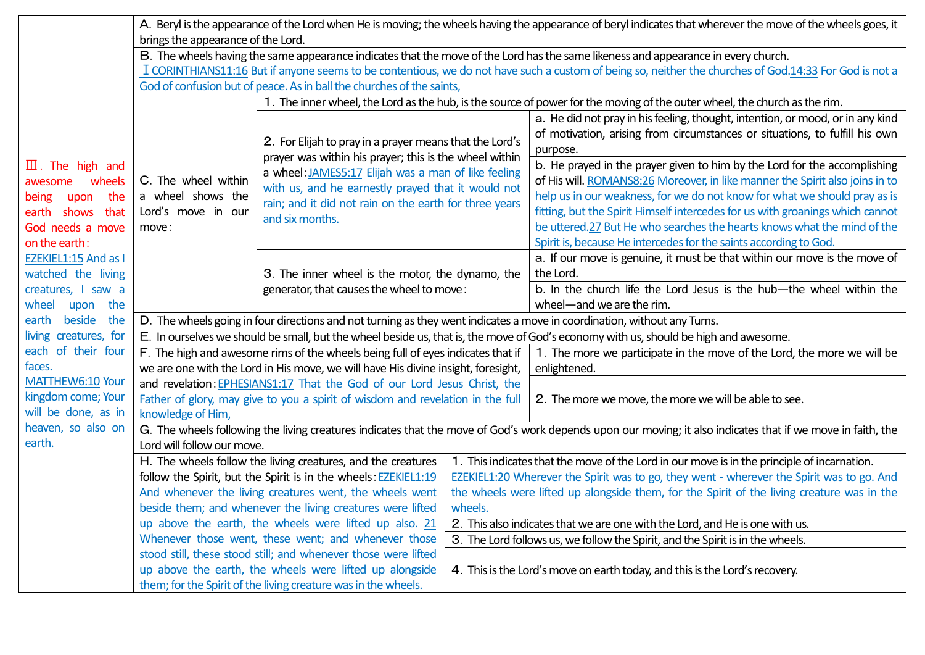|                              | A. Beryl is the appearance of the Lord when He is moving; the wheels having the appearance of beryl indicates that wherever the move of the wheels goes, it |                                                                                                                           |                                                                                                       |                                                                                |  |  |  |  |  |
|------------------------------|-------------------------------------------------------------------------------------------------------------------------------------------------------------|---------------------------------------------------------------------------------------------------------------------------|-------------------------------------------------------------------------------------------------------|--------------------------------------------------------------------------------|--|--|--|--|--|
|                              | brings the appearance of the Lord.                                                                                                                          |                                                                                                                           |                                                                                                       |                                                                                |  |  |  |  |  |
|                              | B. The wheels having the same appearance indicates that the move of the Lord has the same likeness and appearance in every church.                          |                                                                                                                           |                                                                                                       |                                                                                |  |  |  |  |  |
|                              | I CORINTHIANS11:16 But if anyone seems to be contentious, we do not have such a custom of being so, neither the churches of God.14:33 For God is not a      |                                                                                                                           |                                                                                                       |                                                                                |  |  |  |  |  |
|                              |                                                                                                                                                             | God of confusion but of peace. As in ball the churches of the saints,                                                     |                                                                                                       |                                                                                |  |  |  |  |  |
|                              |                                                                                                                                                             | 1. The inner wheel, the Lord as the hub, is the source of power for the moving of the outer wheel, the church as the rim. |                                                                                                       |                                                                                |  |  |  |  |  |
|                              |                                                                                                                                                             |                                                                                                                           |                                                                                                       | a. He did not pray in his feeling, thought, intention, or mood, or in any kind |  |  |  |  |  |
|                              |                                                                                                                                                             | 2. For Elijah to pray in a prayer means that the Lord's                                                                   |                                                                                                       | of motivation, arising from circumstances or situations, to fulfill his own    |  |  |  |  |  |
|                              |                                                                                                                                                             | prayer was within his prayer; this is the wheel within                                                                    |                                                                                                       | purpose.                                                                       |  |  |  |  |  |
| $\mathbf{I}$ . The high and  |                                                                                                                                                             | a wheel: JAMES5:17 Elijah was a man of like feeling                                                                       |                                                                                                       | b. He prayed in the prayer given to him by the Lord for the accomplishing      |  |  |  |  |  |
| wheels<br>awesome            | C. The wheel within                                                                                                                                         | with us, and he earnestly prayed that it would not                                                                        |                                                                                                       | of His will. ROMANS8:26 Moreover, in like manner the Spirit also joins in to   |  |  |  |  |  |
| the<br>being<br>upon         | a wheel shows the                                                                                                                                           | rain; and it did not rain on the earth for three years                                                                    |                                                                                                       | help us in our weakness, for we do not know for what we should pray as is      |  |  |  |  |  |
| earth shows<br>that          | Lord's move in our                                                                                                                                          | and six months.                                                                                                           |                                                                                                       | fitting, but the Spirit Himself intercedes for us with groanings which cannot  |  |  |  |  |  |
| God needs a move             | move:                                                                                                                                                       |                                                                                                                           |                                                                                                       | be uttered.27 But He who searches the hearts knows what the mind of the        |  |  |  |  |  |
| on the earth:                |                                                                                                                                                             |                                                                                                                           |                                                                                                       | Spirit is, because He intercedes for the saints according to God.              |  |  |  |  |  |
| EZEKIEL1:15 And as I         |                                                                                                                                                             |                                                                                                                           |                                                                                                       | a. If our move is genuine, it must be that within our move is the move of      |  |  |  |  |  |
| watched the living           |                                                                                                                                                             | 3. The inner wheel is the motor, the dynamo, the                                                                          |                                                                                                       | the Lord.                                                                      |  |  |  |  |  |
| creatures, I saw a           |                                                                                                                                                             | generator, that causes the wheel to move:                                                                                 |                                                                                                       | b. In the church life the Lord Jesus is the hub-the wheel within the           |  |  |  |  |  |
| the<br>wheel<br>upon         |                                                                                                                                                             | wheel-and we are the rim.                                                                                                 |                                                                                                       |                                                                                |  |  |  |  |  |
| earth beside<br>the          | D. The wheels going in four directions and not turning as they went indicates a move in coordination, without any Turns.                                    |                                                                                                                           |                                                                                                       |                                                                                |  |  |  |  |  |
| living creatures, for        | E. In ourselves we should be small, but the wheel beside us, that is, the move of God's economy with us, should be high and awesome.                        |                                                                                                                           |                                                                                                       |                                                                                |  |  |  |  |  |
| each of their four           |                                                                                                                                                             | F. The high and awesome rims of the wheels being full of eyes indicates that if                                           |                                                                                                       | 1. The more we participate in the move of the Lord, the more we will be        |  |  |  |  |  |
| faces.                       |                                                                                                                                                             | we are one with the Lord in His move, we will have His divine insight, foresight,                                         |                                                                                                       | enlightened.                                                                   |  |  |  |  |  |
| MATTHEW6:10 Your             |                                                                                                                                                             | and revelation: EPHESIANS1:17 That the God of our Lord Jesus Christ, the                                                  |                                                                                                       |                                                                                |  |  |  |  |  |
| kingdom come; Your           |                                                                                                                                                             | Father of glory, may give to you a spirit of wisdom and revelation in the full                                            |                                                                                                       | 2. The more we move, the more we will be able to see.                          |  |  |  |  |  |
| will be done, as in          |                                                                                                                                                             | knowledge of Him,                                                                                                         |                                                                                                       |                                                                                |  |  |  |  |  |
| heaven, so also on<br>earth. | G. The wheels following the living creatures indicates that the move of God's work depends upon our moving; it also indicates that if we move in faith, the |                                                                                                                           |                                                                                                       |                                                                                |  |  |  |  |  |
|                              | Lord will follow our move.                                                                                                                                  |                                                                                                                           |                                                                                                       |                                                                                |  |  |  |  |  |
|                              |                                                                                                                                                             | H. The wheels follow the living creatures, and the creatures                                                              | 1. This indicates that the move of the Lord in our move is in the principle of incarnation.           |                                                                                |  |  |  |  |  |
|                              |                                                                                                                                                             | follow the Spirit, but the Spirit is in the wheels: EZEKIEL1:19                                                           | EZEKIEL1:20 Wherever the Spirit was to go, they went - wherever the Spirit was to go. And             |                                                                                |  |  |  |  |  |
|                              |                                                                                                                                                             | And whenever the living creatures went, the wheels went<br>beside them; and whenever the living creatures were lifted     | the wheels were lifted up alongside them, for the Spirit of the living creature was in the<br>wheels. |                                                                                |  |  |  |  |  |
|                              |                                                                                                                                                             | up above the earth, the wheels were lifted up also. 21                                                                    | 2. This also indicates that we are one with the Lord, and He is one with us.                          |                                                                                |  |  |  |  |  |
|                              |                                                                                                                                                             | Whenever those went, these went; and whenever those                                                                       | 3. The Lord follows us, we follow the Spirit, and the Spirit is in the wheels.                        |                                                                                |  |  |  |  |  |
|                              |                                                                                                                                                             | stood still, these stood still; and whenever those were lifted                                                            |                                                                                                       |                                                                                |  |  |  |  |  |
|                              |                                                                                                                                                             | up above the earth, the wheels were lifted up alongside                                                                   | 4. This is the Lord's move on earth today, and this is the Lord's recovery.                           |                                                                                |  |  |  |  |  |
|                              |                                                                                                                                                             | them; for the Spirit of the living creature was in the wheels.                                                            |                                                                                                       |                                                                                |  |  |  |  |  |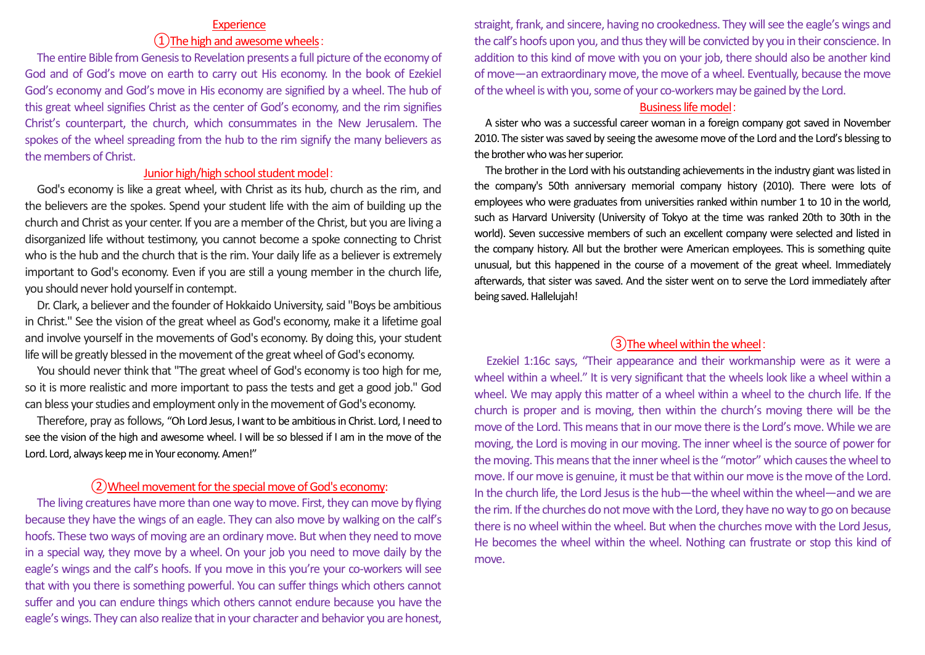#### **Experience**

# ①The high and awesome wheels:

The entire Bible from Genesis to Revelation presents a full picture of the economy of God and of God's move on earth to carry out His economy. In the book of Ezekiel God's economy and God's move in His economy are signified by a wheel. The hub of this great wheel signifies Christ as the center of God's economy, and the rim signifies Christ's counterpart, the church, which consummates in the New Jerusalem. The spokes of the wheel spreading from the hub to the rim signify the many believers as the members of Christ.

## Junior high/high school student model:

God's economy is like a great wheel, with Christ as its hub, church as the rim, and the believers are the spokes. Spend your student life with the aim of building up the church and Christ as your center. If you are a member of the Christ, but you are living a disorganized life without testimony, you cannot become a spoke connecting to Christ who is the hub and the church that is the rim. Your daily life as a believer is extremely important to God's economy. Even if you are still a young member in the church life, you should never hold yourself in contempt.

Dr. Clark, a believer and the founder of Hokkaido University, said "Boys be ambitious in Christ." See the vision of the great wheel as God's economy, make it a lifetime goal and involve yourself in the movements of God's economy. By doing this, your student life will be greatly blessed in the movement of the great wheel of God's economy.

You should never think that "The great wheel of God's economy is too high for me, so it is more realistic and more important to pass the tests and get a good job." God can bless your studies and employment only in the movement of God's economy.

Therefore, pray as follows, "Oh Lord Jesus, I want to be ambitious in Christ. Lord, I need to see the vision of the high and awesome wheel. I will be so blessed if I am in the move of the Lord. Lord, always keep me in Your economy. Amen!"

## ②Wheel movement for the special move of God's economy:

The living creatures have more than one way to move. First, they can move by flying because they have the wings of an eagle. They can also move by walking on the calf's hoofs. These two ways of moving are an ordinary move. But when they need to move in a special way, they move by a wheel. On your job you need to move daily by the eagle's wings and the calf's hoofs. If you move in this you're your co-workers will see that with you there is something powerful. You can suffer things which others cannot suffer and you can endure things which others cannot endure because you have the eagle's wings. They can also realize that in your character and behavior you are honest,

straight, frank, and sincere, having no crookedness. They will see the eagle's wings and the calf's hoofs upon you, and thus they will be convicted by you in their conscience. In addition to this kind of move with you on your job, there should also be another kind of move—an extraordinary move, the move of a wheel. Eventually, because the move of the wheel is with you, some of your co-workers may be gained by the Lord.

### Business life model:

A sister who was a successful career woman in a foreign company got saved in November 2010. The sister was saved by seeing the awesome move of the Lord and the Lord's blessing to the brother who was her superior.

The brother in the Lord with his outstanding achievements in the industry giant was listed in the company's 50th anniversary memorial company history (2010). There were lots of employees who were graduates from universities ranked within number 1 to 10 in the world, such as Harvard University (University of Tokyo at the time was ranked 20th to 30th in the world). Seven successive members of such an excellent company were selected and listed in the company history. All but the brother were American employees. This is something quite unusual, but this happened in the course of a movement of the great wheel. Immediately afterwards, that sister was saved. And the sister went on to serve the Lord immediately after being saved. Hallelujah!

# ③The wheel within the wheel:

Ezekiel 1:16c says, "Their appearance and their workmanship were as it were a wheel within a wheel." It is very significant that the wheels look like a wheel within a wheel. We may apply this matter of a wheel within a wheel to the church life. If the church is proper and is moving, then within the church's moving there will be the move of the Lord. This means that in our move there is the Lord's move. While we are moving, the Lord is moving in our moving. The inner wheel is the source of power for the moving. This means that the inner wheel is the "motor" which causes the wheel to move. If our move is genuine, it must be that within our move is the move of the Lord. In the church life, the Lord Jesus is the hub—the wheel within the wheel—and we are the rim. If the churches do not move with the Lord, they have no way to go on because there is no wheel within the wheel. But when the churches move with the Lord Jesus, He becomes the wheel within the wheel. Nothing can frustrate or stop this kind of move.